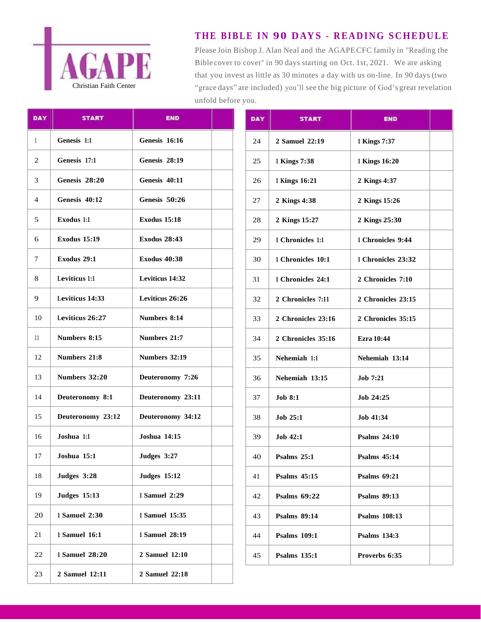

## **T HE B I B LE I N 90 DAYS - R E A D I NG S C HE D U LE**

Please Join Bishop J. Alan Neal and the AGAPECFC family in "Reading the Bible cover to cover" in 90 days starting on Oct. 1st, 2021. We are asking that you invest as little as 30 minutes a day with us on-line. In 90 days (two "grace days" are included) you'll see the big picture of God's great revelation unfold before you.

| DAY | <b>START</b>        | <b>END</b>          | <b>DAY</b> | <b>START</b>        | <b>END</b>          |
|-----|---------------------|---------------------|------------|---------------------|---------------------|
| 1   | Genesis 1:1         | Genesis 16:16       | 24         | 2 Samuel 22:19      | 1 Kings 7:37        |
| 2   | Genesis 17:1        | Genesis 28:19       | 25         | 1 Kings 7:38        | 1 Kings 16:20       |
| 3   | Genesis 28:20       | Genesis 40:11       | 26         | 1 Kings 16:21       | 2 Kings 4:37        |
| 4   | Genesis 40:12       | Genesis 50:26       | 27         | 2 Kings 4:38        | 2 Kings 15:2        |
| 5   | Exodus 1:1          | <b>Exodus 15:18</b> | 28         | 2 Kings 15:27       | 2 Kings 25:3        |
| 6   | <b>Exodus 15:19</b> | <b>Exodus 28:43</b> | 29         | 1 Chronicles 1:1    | 1 Chronicles        |
| 7   | Exodus 29:1         | <b>Exodus 40:38</b> | 30         | 1 Chronicles 10:1   | 1 Chronicles        |
| 8   | Leviticus 1:1       | Leviticus 14:32     | 31         | 1 Chronicles 24:1   | 2 Chronicles        |
| 9   | Leviticus 14:33     | Leviticus 26:26     | 32         | 2 Chronicles 7:11   | 2 Chronicles        |
| 10  | Leviticus 26:27     | Numbers 8:14        | 33         | 2 Chronicles 23:16  | 2 Chronicles        |
| 11  | Numbers 8:15        | Numbers 21:7        | 34         | 2 Chronicles 35:16  | <b>Ezra 10:44</b>   |
| 12  | Numbers 21:8        | Numbers 32:19       | 35         | Nehemiah 1:1        | Nehemiah 1.         |
| 13  | Numbers 32:20       | Deuteronomy 7:26    | 36         | Nehemiah 13:15      | <b>Job 7:21</b>     |
| 14  | Deuteronomy 8:1     | Deuteronomy 23:11   | 37         | <b>Job 8:1</b>      | Job 24:25           |
| 15  | Deuteronomy 23:12   | Deuteronomy 34:12   | 38         | Job 25:1            | Job 41:34           |
| 16  | Joshua 1:1          | Joshua 14:15        | 39         | Job 42:1            | <b>Psalms 24:10</b> |
| 17  | Joshua 15:1         | Judges 3:27         | 40         | Psalms 25:1         | <b>Psalms</b> 45:14 |
| 18  | Judges 3:28         | <b>Judges 15:12</b> | 41         | <b>Psalms 45:15</b> | <b>Psalms 69:21</b> |
| 19  | <b>Judges 15:13</b> | 1 Samuel 2:29       | 42         | <b>Psalms 69:22</b> | <b>Psalms 89:13</b> |
| 20  | 1 Samuel 2:30       | 1 Samuel 15:35      | 43         | <b>Psalms 89:14</b> | <b>Psalms</b> 108:1 |
| 21  | 1 Samuel 16:1       | 1 Samuel 28:19      | 44         | <b>Psalms 109:1</b> | Psalms 134:3        |
| 22  | 1 Samuel 28:20      | 2 Samuel 12:10      | 45         | <b>Psalms</b> 135:1 | Proverbs 6:3        |
| 23  | 2 Samuel 12:11      | 2 Samuel 22:18      |            |                     |                     |

| DAY | <b>START</b>        | <b>END</b>           |
|-----|---------------------|----------------------|
| 24  | 2 Samuel 22:19      | 1 Kings 7:37         |
| 25  | 1 Kings 7:38        | 1 Kings 16:20        |
| 26  | 1 Kings 16:21       | 2 Kings 4:37         |
| 27  | 2 Kings 4:38        | 2 Kings 15:26        |
| 28  | 2 Kings 15:27       | 2 Kings 25:30        |
| 29  | 1 Chronicles 1:1    | 1 Chronicles 9:44    |
| 30  | 1 Chronicles 10:1   | 1 Chronicles 23:32   |
| 31  | 1 Chronicles 24:1   | 2 Chronicles 7:10    |
| 32  | 2 Chronicles 7:11   | 2 Chronicles 23:15   |
| 33  | 2 Chronicles 23:16  | 2 Chronicles 35:15   |
| 34  | 2 Chronicles 35:16  | <b>Ezra</b> 10:44    |
| 35  | Nehemiah 1:1        | Nehemiah 13:14       |
| 36  | Nehemiah 13:15      | <b>Job 7:21</b>      |
| 37  | <b>Job 8:1</b>      | Job 24:25            |
| 38  | <b>Job 25:1</b>     | Job 41:34            |
| 39  | Job 42:1            | <b>Psalms 24:10</b>  |
| 40  | Psalms $25:1$       | Psalms $45:14$       |
| 41  | Psalms $45:15$      | <b>Psalms 69:21</b>  |
| 42  | Psalms $69:22$      | <b>Psalms 89:13</b>  |
| 43  | <b>Psalms 89:14</b> | <b>Psalms</b> 108:13 |
| 44  | <b>Psalms 109:1</b> | <b>Psalms</b> 134:3  |
| 45  | <b>Psalms 135:1</b> | Proverbs 6:35        |
|     |                     |                      |